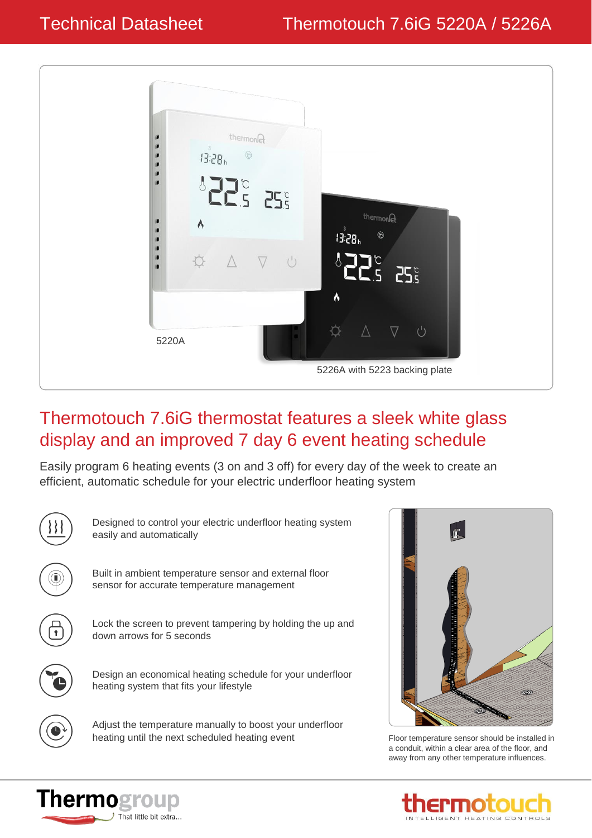

## Thermotouch 7.6iG thermostat features a sleek white glass display and an improved 7 day 6 event heating schedule

Easily program 6 heating events (3 on and 3 off) for every day of the week to create an efficient, automatic schedule for your electric underfloor heating system



**Thermogroup** 

That little bit extra...



a conduit, within a clear area of the floor, and away from any other temperature influences.